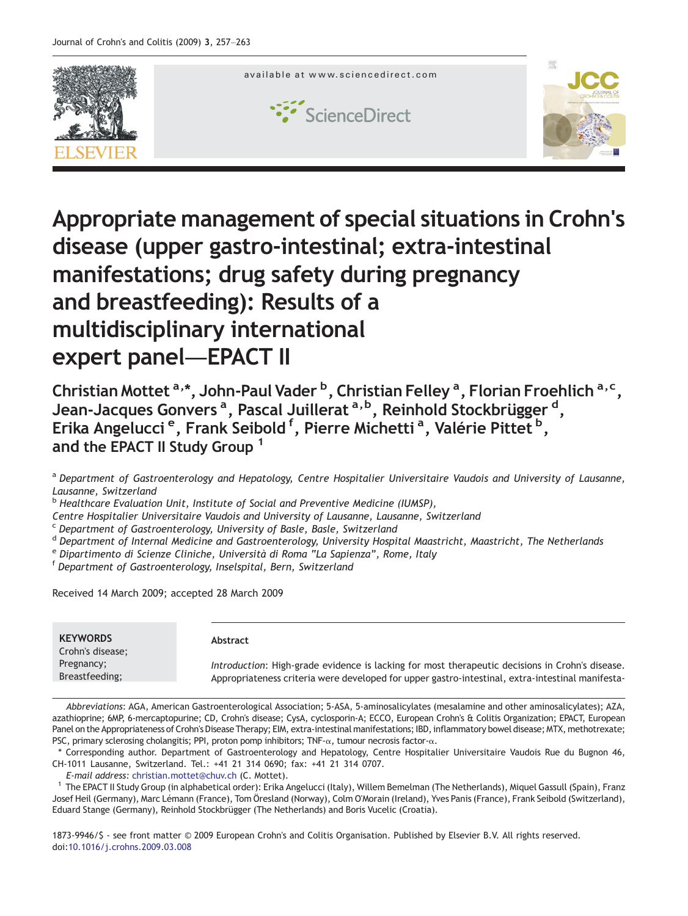

# Appropriate management of special situations in Crohn's disease (upper gastro-intestinal; extra-intestinal manifestations; drug safety during pregnancy and breastfeeding): Results of a multidisciplinary international expert panel—EPACT II

Christian Mottet <sup>a,</sup>\*, John-Paul Vader <sup>b</sup>, Christian Felley <sup>a</sup>, Florian Froehlich <sup>a, c</sup>, Jean-Jacques Gonvers <sup>a</sup>, Pascal Juillerat <sup>a, b</sup>, Reinhold Stockbrügger <sup>d</sup>, Erika Angelucci<sup>e</sup>, Frank Seibold<sup>f</sup>, Pierre Michetti<sup>a</sup>, Valérie Pittet<sup>b</sup>, and the EPACT II Study Group<sup>1</sup>

a Department of Gastroenterology and Hepatology, Centre Hospitalier Universitaire Vaudois and University of Lausanne, Lausanne, Switzerland

<sup>b</sup> Healthcare Evaluation Unit, Institute of Social and Preventive Medicine (IUMSP),

Centre Hospitalier Universitaire Vaudois and University of Lausanne, Lausanne, Switzerland

<sup>c</sup> Department of Gastroenterology, University of Basle, Basle, Switzerland

- <sup>d</sup> Department of Internal Medicine and Gastroenterology, University Hospital Maastricht, Maastricht, The Netherlands
- <sup>e</sup> Dipartimento di Scienze Cliniche, Università di Roma "La Sapienza", Rome, Italy<br><sup>f</sup> Department of Gastroenterology, Inselspital, Bern, Switzerland

Received 14 March 2009; accepted 28 March 2009

| <b>KEYWORDS</b><br>Crohn's disease; | Abstract                                                                                         |
|-------------------------------------|--------------------------------------------------------------------------------------------------|
| Pregnancy;                          | Introduction: High-grade evidence is lacking for most therapeutic decisions in Crohn's disease.  |
| Breastfeeding;                      | Appropriateness criteria were developed for upper gastro-intestinal, extra-intestinal manifesta- |

Abbreviations: AGA, American Gastroenterological Association; 5-ASA, 5-aminosalicylates (mesalamine and other aminosalicylates); AZA, azathioprine; 6MP, 6-mercaptopurine; CD, Crohn's disease; CysA, cyclosporin-A; ECCO, European Crohn's & Colitis Organization; EPACT, European Panel on the Appropriateness of Crohn's Disease Therapy; EIM, extra-intestinal manifestations; IBD, inflammatory bowel disease; MTX, methotrexate; PSC, primary sclerosing cholangitis; PPI, proton pomp inhibitors; TNF-α, tumour necrosis factor-α.

⁎ Corresponding author. Department of Gastroenterology and Hepatology, Centre Hospitalier Universitaire Vaudois Rue du Bugnon 46, CH-1011 Lausanne, Switzerland. Tel.: +41 21 314 0690; fax: +41 21 314 0707.

E-mail address: [christian.mottet@chuv.ch](mailto:christian.mottet@chuv.ch) (C. Mottet).

<sup>1</sup> The EPACT II Study Group (in alphabetical order): Erika Angelucci (Italy), Willem Bemelman (The Netherlands), Miquel Gassull (Spain), Franz Josef Heil (Germany), Marc Lémann (France), Tom Öresland (Norway), Colm O'Morain (Ireland), Yves Panis (France), Frank Seibold (Switzerland), Eduard Stange (Germany), Reinhold Stockbrügger (The Netherlands) and Boris Vucelic (Croatia).

1873-9946/\$ - see front matter © 2009 European Crohn's and Colitis Organisation. Published by Elsevier B.V. All rights reserved. doi[:10.1016/j.crohns.2009.03.008](http://dx.doi.org/10.1016/j.crohns.2009.03.008)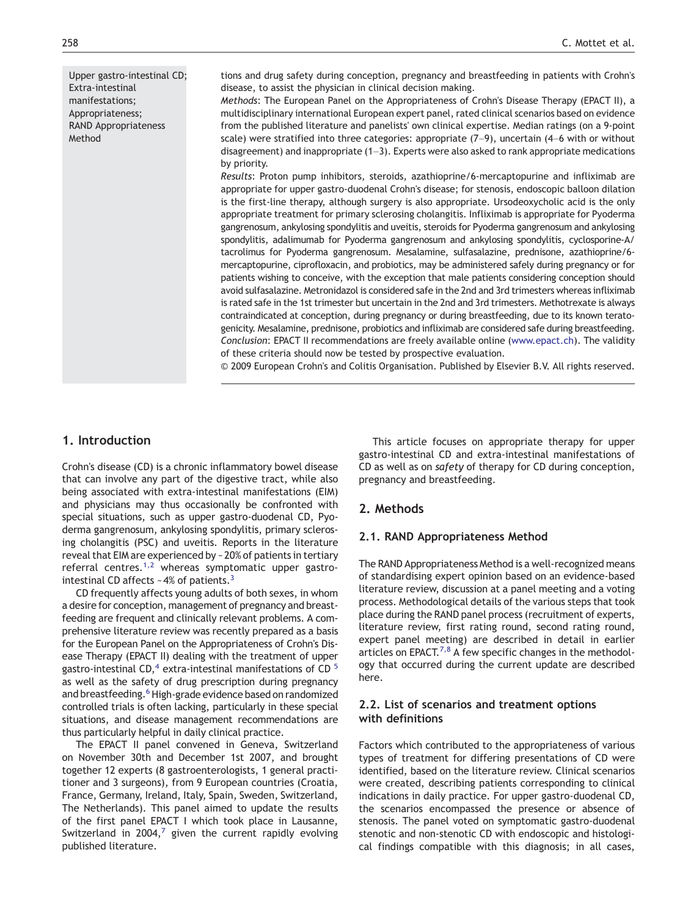Upper gastro-intestinal CD; Extra-intestinal manifestations; Appropriateness; RAND Appropriateness Method

tions and drug safety during conception, pregnancy and breastfeeding in patients with Crohn's disease, to assist the physician in clinical decision making.

Methods: The European Panel on the Appropriateness of Crohn's Disease Therapy (EPACT II), a multidisciplinary international European expert panel, rated clinical scenarios based on evidence from the published literature and panelists' own clinical expertise. Median ratings (on a 9-point scale) were stratified into three categories: appropriate  $(7-9)$ , uncertain  $(4-6$  with or without disagreement) and inappropriate (1–3). Experts were also asked to rank appropriate medications by priority.

Results: Proton pump inhibitors, steroids, azathioprine/6-mercaptopurine and infliximab are appropriate for upper gastro-duodenal Crohn's disease; for stenosis, endoscopic balloon dilation is the first-line therapy, although surgery is also appropriate. Ursodeoxycholic acid is the only appropriate treatment for primary sclerosing cholangitis. Infliximab is appropriate for Pyoderma gangrenosum, ankylosing spondylitis and uveitis, steroids for Pyoderma gangrenosum and ankylosing spondylitis, adalimumab for Pyoderma gangrenosum and ankylosing spondylitis, cyclosporine-A/ tacrolimus for Pyoderma gangrenosum. Mesalamine, sulfasalazine, prednisone, azathioprine/6 mercaptopurine, ciprofloxacin, and probiotics, may be administered safely during pregnancy or for patients wishing to conceive, with the exception that male patients considering conception should avoid sulfasalazine. Metronidazol is considered safe in the 2nd and 3rd trimesters whereas infliximab is rated safe in the 1st trimester but uncertain in the 2nd and 3rd trimesters. Methotrexate is always contraindicated at conception, during pregnancy or during breastfeeding, due to its known teratogenicity. Mesalamine, prednisone, probiotics and infliximab are considered safe during breastfeeding. Conclusion: EPACT II recommendations are freely available online ([www.epact.ch\)](mailto:christian.mottet@chuv.ch). The validity of these criteria should now be tested by prospective evaluation.

© 2009 European Crohn's and Colitis Organisation. Published by Elsevier B.V. All rights reserved.

## 1. Introduction

Crohn's disease (CD) is a chronic inflammatory bowel disease that can involve any part of the digestive tract, while also being associated with extra-intestinal manifestations (EIM) and physicians may thus occasionally be confronted with special situations, such as upper gastro-duodenal CD, Pyoderma gangrenosum, ankylosing spondylitis, primary sclerosing cholangitis (PSC) and uveitis. Reports in the literature reveal that EIM are experienced by ~20% of patients in tertiary referral centres.<sup>[1,2](#page-5-0)</sup> whereas symptomatic upper gastrointestinal CD affects  $~-4\%$  of patients.<sup>3</sup>

CD frequently affects young adults of both sexes, in whom a desire for conception, management of pregnancy and breastfeeding are frequent and clinically relevant problems. A comprehensive literature review was recently prepared as a basis for the European Panel on the Appropriateness of Crohn's Disease Therapy (EPACT II) dealing with the treatment of upper gastro-intestinal CD, $4$  extra-intestinal manifestations of CD $<sup>5</sup>$  $<sup>5</sup>$  $<sup>5</sup>$ </sup> as well as the safety of drug prescription during pregnancy and breastfeeding.<sup>6</sup> High-grade evidence based on randomized controlled trials is often lacking, particularly in these special situations, and disease management recommendations are thus particularly helpful in daily clinical practice.

The EPACT II panel convened in Geneva, Switzerland on November 30th and December 1st 2007, and brought together 12 experts (8 gastroenterologists, 1 general practitioner and 3 surgeons), from 9 European countries (Croatia, France, Germany, Ireland, Italy, Spain, Sweden, Switzerland, The Netherlands). This panel aimed to update the results of the first panel EPACT I which took place in Lausanne, Switzerland in 2004, $<sup>7</sup>$  $<sup>7</sup>$  $<sup>7</sup>$  given the current rapidly evolving</sup> published literature.

This article focuses on appropriate therapy for upper gastro-intestinal CD and extra-intestinal manifestations of CD as well as on safety of therapy for CD during conception, pregnancy and breastfeeding.

## 2. Methods

## 2.1. RAND Appropriateness Method

The RAND Appropriateness Method is a well-recognized means of standardising expert opinion based on an evidence-based literature review, discussion at a panel meeting and a voting process. Methodological details of the various steps that took place during the RAND panel process (recruitment of experts, literature review, first rating round, second rating round, expert panel meeting) are described in detail in earlier articles on EPACT. $^{7,8}$  $^{7,8}$  $^{7,8}$  A few specific changes in the methodology that occurred during the current update are described here.

## 2.2. List of scenarios and treatment options with definitions

Factors which contributed to the appropriateness of various types of treatment for differing presentations of CD were identified, based on the literature review. Clinical scenarios were created, describing patients corresponding to clinical indications in daily practice. For upper gastro-duodenal CD, the scenarios encompassed the presence or absence of stenosis. The panel voted on symptomatic gastro-duodenal stenotic and non-stenotic CD with endoscopic and histological findings compatible with this diagnosis; in all cases,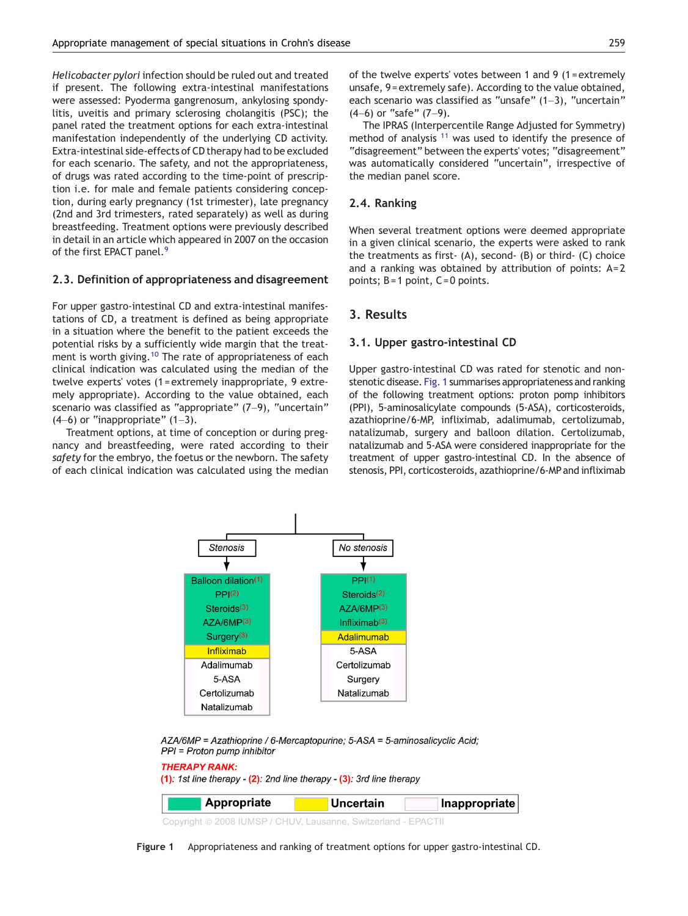Helicobacter pylori infection should be ruled out and treated if present. The following extra-intestinal manifestations were assessed: Pyoderma gangrenosum, ankylosing spondylitis, uveitis and primary sclerosing cholangitis (PSC); the panel rated the treatment options for each extra-intestinal manifestation independently of the underlying CD activity. Extra-intestinal side-effects of CD therapy had to be excluded for each scenario. The safety, and not the appropriateness, of drugs was rated according to the time-point of prescription i.e. for male and female patients considering conception, during early pregnancy (1st trimester), late pregnancy (2nd and 3rd trimesters, rated separately) as well as during breastfeeding. Treatment options were previously described in detail in an article which appeared in 2007 on the occasion of the first EPACT panel.<sup>[9](#page-5-0)</sup>

#### 2.3. Definition of appropriateness and disagreement

For upper gastro-intestinal CD and extra-intestinal manifestations of CD, a treatment is defined as being appropriate in a situation where the benefit to the patient exceeds the potential risks by a sufficiently wide margin that the treat-ment is worth giving.<sup>[10](#page-5-0)</sup> The rate of appropriateness of each clinical indication was calculated using the median of the twelve experts' votes (1 = extremely inappropriate, 9 extremely appropriate). According to the value obtained, each scenario was classified as "appropriate" (7-9), "uncertain"  $(4-6)$  or "inappropriate"  $(1-3)$ .

Treatment options, at time of conception or during pregnancy and breastfeeding, were rated according to their safety for the embryo, the foetus or the newborn. The safety of each clinical indication was calculated using the median of the twelve experts' votes between 1 and 9 (1 = extremely unsafe, 9 = extremely safe). According to the value obtained, each scenario was classified as "unsafe" (1–3), "uncertain" (4–6) or "safe" (7–9).

The IPRAS (Interpercentile Range Adjusted for Symmetry) method of analysis  $11$  was used to identify the presence of "disagreement" between the experts' votes; "disagreement" was automatically considered "uncertain", irrespective of the median panel score.

#### 2.4. Ranking

When several treatment options were deemed appropriate in a given clinical scenario, the experts were asked to rank the treatments as first- (A), second- (B) or third- (C) choice and a ranking was obtained by attribution of points:  $A = 2$ points;  $B = 1$  point,  $C = 0$  points.

## 3. Results

#### 3.1. Upper gastro-intestinal CD

Upper gastro-intestinal CD was rated for stenotic and nonstenotic disease. Fig. 1 summarises appropriateness and ranking of the following treatment options: proton pomp inhibitors (PPI), 5-aminosalicylate compounds (5-ASA), corticosteroids, azathioprine/6-MP, infliximab, adalimumab, certolizumab, natalizumab, surgery and balloon dilation. Certolizumab, natalizumab and 5-ASA were considered inappropriate for the treatment of upper gastro-intestinal CD. In the absence of stenosis, PPI, corticosteroids, azathioprine/6-MP and infliximab



AZA/6MP = Azathioprine / 6-Mercaptopurine; 5-ASA = 5-aminosalicyclic Acid; PPI = Proton pump inhibitor

#### **THERAPY RANK:**  $(1)$ : 1st line therapy -  $(2)$ : 2nd line therapy -  $(3)$ : 3rd line therapy **Appropriate Uncertain** Inappropriate

Copyright © 2008 IUMSP / CHUV, Lausanne, Switzerland - EPACTII

Figure 1 Appropriateness and ranking of treatment options for upper gastro-intestinal CD.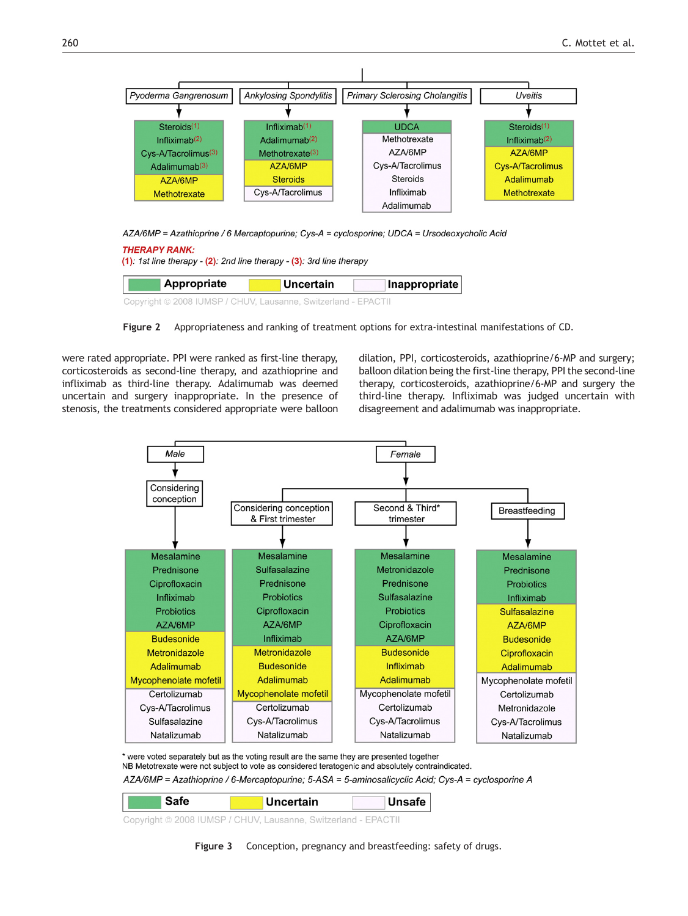<span id="page-3-0"></span>

AZA/6MP = Azathioprine / 6 Mercaptopurine; Cys-A = cyclosporine; UDCA = Ursodeoxycholic Acid

| <b>THERAPY RANK:</b><br>$(1)$ : 1st line therapy - $(2)$ : 2nd line therapy - $(3)$ : 3rd line therapy |                  |               |  |  |  |  |
|--------------------------------------------------------------------------------------------------------|------------------|---------------|--|--|--|--|
| Appropriate                                                                                            | <b>Uncertain</b> | Inappropriate |  |  |  |  |
| Copyright © 2008 IUMSP / CHUV, Lausanne, Switzerland - EPACTII                                         |                  |               |  |  |  |  |

Figure 2 Appropriateness and ranking of treatment options for extra-intestinal manifestations of CD.

were rated appropriate. PPI were ranked as first-line therapy, corticosteroids as second-line therapy, and azathioprine and infliximab as third-line therapy. Adalimumab was deemed uncertain and surgery inappropriate. In the presence of stenosis, the treatments considered appropriate were balloon dilation, PPI, corticosteroids, azathioprine/6-MP and surgery; balloon dilation being the first-line therapy, PPI the second-line therapy, corticosteroids, azathioprine/6-MP and surgery the third-line therapy. Infliximab was judged uncertain with disagreement and adalimumab was inappropriate.



\* were voted separately but as the voting result are the same they are presented together

NB Metotrexate were not subject to vote as considered teratogenic and absolutely contraindicated.

AZA/6MP = Azathioprine / 6-Mercaptopurine; 5-ASA = 5-aminosalicyclic Acid; Cys-A = cyclosporine A

| Safe | Uncertain | Unsafe |
|------|-----------|--------|
|      |           |        |

Copyright © 2008 IUMSP / CHUV, Lausanne, Switzerland - EPACTII

Figure 3 Conception, pregnancy and breastfeeding: safety of drugs.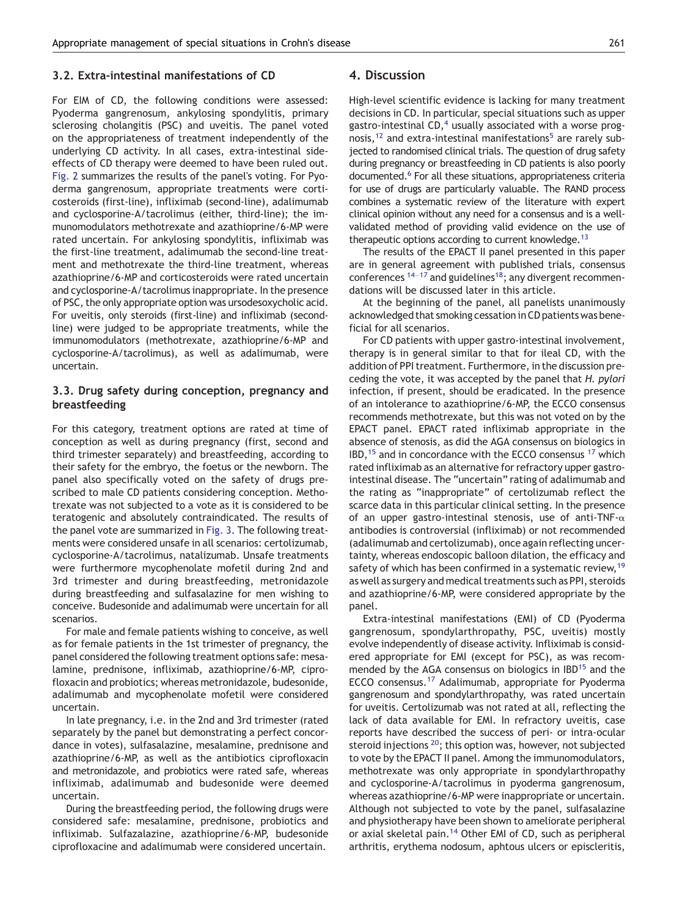### 3.2. Extra-intestinal manifestations of CD

For EIM of CD, the following conditions were assessed: Pyoderma gangrenosum, ankylosing spondylitis, primary sclerosing cholangitis (PSC) and uveitis. The panel voted on the appropriateness of treatment independently of the underlying CD activity. In all cases, extra-intestinal sideeffects of CD therapy were deemed to have been ruled out. [Fig. 2](#page-3-0) summarizes the results of the panel's voting. For Pyoderma gangrenosum, appropriate treatments were corticosteroids (first-line), infliximab (second-line), adalimumab and cyclosporine-A/tacrolimus (either, third-line); the immunomodulators methotrexate and azathioprine/6-MP were rated uncertain. For ankylosing spondylitis, infliximab was the first-line treatment, adalimumab the second-line treatment and methotrexate the third-line treatment, whereas azathioprine/6-MP and corticosteroids were rated uncertain and cyclosporine-A/tacrolimus inappropriate. In the presence of PSC, the only appropriate option was ursodesoxycholic acid. For uveitis, only steroids (first-line) and infliximab (secondline) were judged to be appropriate treatments, while the immunomodulators (methotrexate, azathioprine/6-MP and cyclosporine-A/tacrolimus), as well as adalimumab, were uncertain.

## 3.3. Drug safety during conception, pregnancy and breastfeeding

For this category, treatment options are rated at time of conception as well as during pregnancy (first, second and third trimester separately) and breastfeeding, according to their safety for the embryo, the foetus or the newborn. The panel also specifically voted on the safety of drugs prescribed to male CD patients considering conception. Methotrexate was not subjected to a vote as it is considered to be teratogenic and absolutely contraindicated. The results of the panel vote are summarized in [Fig. 3](#page-3-0). The following treatments were considered unsafe in all scenarios: certolizumab, cyclosporine-A/tacrolimus, natalizumab. Unsafe treatments were furthermore mycophenolate mofetil during 2nd and 3rd trimester and during breastfeeding, metronidazole during breastfeeding and sulfasalazine for men wishing to conceive. Budesonide and adalimumab were uncertain for all scenarios.

For male and female patients wishing to conceive, as well as for female patients in the 1st trimester of pregnancy, the panel considered the following treatment options safe: mesalamine, prednisone, infliximab, azathioprine/6-MP, ciprofloxacin and probiotics; whereas metronidazole, budesonide, adalimumab and mycophenolate mofetil were considered uncertain.

In late pregnancy, i.e. in the 2nd and 3rd trimester (rated separately by the panel but demonstrating a perfect concordance in votes), sulfasalazine, mesalamine, prednisone and azathioprine/6-MP, as well as the antibiotics ciprofloxacin and metronidazole, and probiotics were rated safe, whereas infliximab, adalimumab and budesonide were deemed uncertain.

During the breastfeeding period, the following drugs were considered safe: mesalamine, prednisone, probiotics and infliximab. Sulfazalazine, azathioprine/6-MP, budesonide ciprofloxacine and adalimumab were considered uncertain.

### 4. Discussion

High-level scientific evidence is lacking for many treatment decisions in CD. In particular, special situations such as upper gastro-intestinal CD, $4$  usually associated with a worse prognosis, $12$  and extra-intestinal manifestations<sup>[5](#page-5-0)</sup> are rarely subjected to randomised clinical trials. The question of drug safety during pregnancy or breastfeeding in CD patients is also poorly documented[.6](#page-5-0) For all these situations, appropriateness criteria for use of drugs are particularly valuable. The RAND process combines a systematic review of the literature with expert clinical opinion without any need for a consensus and is a wellvalidated method of providing valid evidence on the use of therapeutic options according to current knowledge.<sup>[13](#page-5-0)</sup>

The results of the EPACT II panel presented in this paper are in general agreement with published trials, consensus conferences  $14-17$  $14-17$  and guidelines<sup>18</sup>; any divergent recommendations will be discussed later in this article.

At the beginning of the panel, all panelists unanimously acknowledged that smoking cessation in CD patients was beneficial for all scenarios.

For CD patients with upper gastro-intestinal involvement, therapy is in general similar to that for ileal CD, with the addition of PPI treatment. Furthermore, in the discussion preceding the vote, it was accepted by the panel that H. pylori infection, if present, should be eradicated. In the presence of an intolerance to azathioprine/6-MP, the ECCO consensus recommends methotrexate, but this was not voted on by the EPACT panel. EPACT rated infliximab appropriate in the absence of stenosis, as did the AGA consensus on biologics in  $IBD<sub>15</sub>$  $IBD<sub>15</sub>$  $IBD<sub>15</sub>$  and in concordance with the ECCO consensus  $17$  which rated infliximab as an alternative for refractory upper gastrointestinal disease. The "uncertain" rating of adalimumab and the rating as "inappropriate" of certolizumab reflect the scarce data in this particular clinical setting. In the presence of an upper gastro-intestinal stenosis, use of anti-TNF- $\alpha$ antibodies is controversial (infliximab) or not recommended (adalimumab and certolizumab), once again reflecting uncertainty, whereas endoscopic balloon dilation, the efficacy and safety of which has been confirmed in a systematic review, <sup>[19](#page-5-0)</sup> as well as surgery and medical treatments such as PPI, steroids and azathioprine/6-MP, were considered appropriate by the panel.

Extra-intestinal manifestations (EMI) of CD (Pyoderma gangrenosum, spondylarthropathy, PSC, uveitis) mostly evolve independently of disease activity. Infliximab is considered appropriate for EMI (except for PSC), as was recom-mended by the AGA consensus on biologics in IBD<sup>[15](#page-5-0)</sup> and the ECCO consensus.<sup>[17](#page-5-0)</sup> Adalimumab, appropriate for Pyoderma gangrenosum and spondylarthropathy, was rated uncertain for uveitis. Certolizumab was not rated at all, reflecting the lack of data available for EMI. In refractory uveitis, case reports have described the success of peri- or intra-ocular steroid injections <sup>[20](#page-6-0)</sup>; this option was, however, not subjected to vote by the EPACT II panel. Among the immunomodulators, methotrexate was only appropriate in spondylarthropathy and cyclosporine-A/tacrolimus in pyoderma gangrenosum, whereas azathioprine/6-MP were inappropriate or uncertain. Although not subjected to vote by the panel, sulfasalazine and physiotherapy have been shown to ameliorate peripheral or axial skeletal pain.<sup>14</sup> Other EMI of CD, such as peripheral arthritis, erythema nodosum, aphtous ulcers or episcleritis,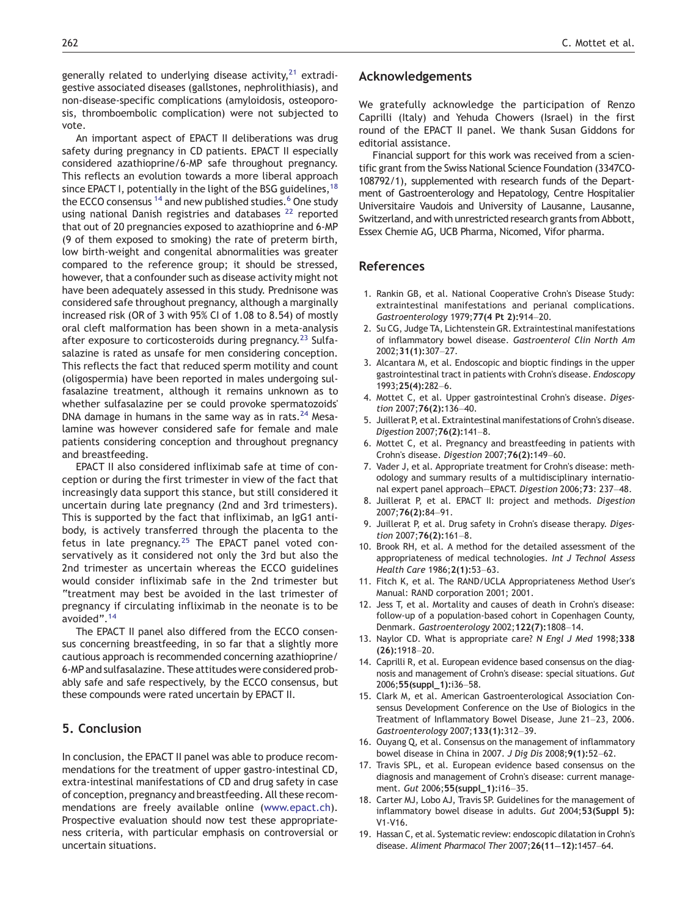<span id="page-5-0"></span>generally related to underlying disease activity, $21$  extradigestive associated diseases (gallstones, nephrolithiasis), and non-disease-specific complications (amyloidosis, osteoporosis, thromboembolic complication) were not subjected to vote.

An important aspect of EPACT II deliberations was drug safety during pregnancy in CD patients. EPACT II especially considered azathioprine/6-MP safe throughout pregnancy. This reflects an evolution towards a more liberal approach since EPACT I, potentially in the light of the BSG guidelines,  $18$ the ECCO consensus <sup>14</sup> and new published studies.<sup>6</sup> One study using national Danish registries and databases<sup>[22](#page-6-0)</sup> reported that out of 20 pregnancies exposed to azathioprine and 6-MP (9 of them exposed to smoking) the rate of preterm birth, low birth-weight and congenital abnormalities was greater compared to the reference group; it should be stressed, however, that a confounder such as disease activity might not have been adequately assessed in this study. Prednisone was considered safe throughout pregnancy, although a marginally increased risk (OR of 3 with 95% CI of 1.08 to 8.54) of mostly oral cleft malformation has been shown in a meta-analysis after exposure to corticosteroids during pregnancy.<sup>[23](#page-6-0)</sup> Sulfasalazine is rated as unsafe for men considering conception. This reflects the fact that reduced sperm motility and count (oligospermia) have been reported in males undergoing sulfasalazine treatment, although it remains unknown as to whether sulfasalazine per se could provoke spermatozoids' DNA damage in humans in the same way as in rats. $24$  Mesalamine was however considered safe for female and male patients considering conception and throughout pregnancy and breastfeeding.

EPACT II also considered infliximab safe at time of conception or during the first trimester in view of the fact that increasingly data support this stance, but still considered it uncertain during late pregnancy (2nd and 3rd trimesters). This is supported by the fact that infliximab, an IgG1 antibody, is actively transferred through the placenta to the fetus in late pregnancy. $25$  The EPACT panel voted conservatively as it considered not only the 3rd but also the 2nd trimester as uncertain whereas the ECCO guidelines would consider infliximab safe in the 2nd trimester but "treatment may best be avoided in the last trimester of pregnancy if circulating infliximab in the neonate is to be avoided".<sup>14</sup>

The EPACT II panel also differed from the ECCO consensus concerning breastfeeding, in so far that a slightly more cautious approach is recommended concerning azathioprine/ 6-MP and sulfasalazine. These attitudes were considered probably safe and safe respectively, by the ECCO consensus, but these compounds were rated uncertain by EPACT II.

## 5. Conclusion

In conclusion, the EPACT II panel was able to produce recommendations for the treatment of upper gastro-intestinal CD, extra-intestinal manifestations of CD and drug safety in case of conception, pregnancy and breastfeeding. All these recommendations are freely available online ([www.epact.ch](http://www.epact.ch)). Prospective evaluation should now test these appropriateness criteria, with particular emphasis on controversial or uncertain situations.

## Acknowledgements

We gratefully acknowledge the participation of Renzo Caprilli (Italy) and Yehuda Chowers (Israel) in the first round of the EPACT II panel. We thank Susan Giddons for editorial assistance.

Financial support for this work was received from a scientific grant from the Swiss National Science Foundation (3347CO-108792/1), supplemented with research funds of the Department of Gastroenterology and Hepatology, Centre Hospitalier Universitaire Vaudois and University of Lausanne, Lausanne, Switzerland, and with unrestricted research grants from Abbott, Essex Chemie AG, UCB Pharma, Nicomed, Vifor pharma.

## References

- 1. Rankin GB, et al. National Cooperative Crohn's Disease Study: extraintestinal manifestations and perianal complications. Gastroenterology 1979;77(4 Pt 2):914–20.
- 2. Su CG, Judge TA, Lichtenstein GR. Extraintestinal manifestations of inflammatory bowel disease. Gastroenterol Clin North Am 2002;31(1):307–27.
- 3. Alcantara M, et al. Endoscopic and bioptic findings in the upper gastrointestinal tract in patients with Crohn's disease. Endoscopy 1993;25(4):282–6.
- 4. Mottet C, et al. Upper gastrointestinal Crohn's disease. Digestion 2007;76(2):136–40.
- 5. Juillerat P, et al. Extraintestinal manifestations of Crohn's disease. Digestion 2007;76(2):141–8.
- 6. Mottet C, et al. Pregnancy and breastfeeding in patients with Crohn's disease. Digestion 2007;76(2):149–60.
- 7. Vader J, et al. Appropriate treatment for Crohn's disease: methodology and summary results of a multidisciplinary international expert panel approach—EPACT. Digestion 2006;73: 237–48.
- 8. Juillerat P, et al. EPACT II: project and methods. Digestion 2007;76(2):84–91.
- 9. Juillerat P, et al. Drug safety in Crohn's disease therapy. Digestion 2007;76(2):161–8.
- 10. Brook RH, et al. A method for the detailed assessment of the appropriateness of medical technologies. Int J Technol Assess Health Care 1986;2(1):53–63.
- 11. Fitch K, et al. The RAND/UCLA Appropriateness Method User's Manual: RAND corporation 2001; 2001.
- 12. Jess T, et al. Mortality and causes of death in Crohn's disease: follow-up of a population-based cohort in Copenhagen County, Denmark. Gastroenterology 2002;122(7):1808–14.
- 13. Naylor CD. What is appropriate care? N Engl J Med 1998;338 (26):1918–20.
- 14. Caprilli R, et al. European evidence based consensus on the diagnosis and management of Crohn's disease: special situations. Gut 2006;55(suppl\_1):i36–58.
- 15. Clark M, et al. American Gastroenterological Association Consensus Development Conference on the Use of Biologics in the Treatment of Inflammatory Bowel Disease, June 21–23, 2006. Gastroenterology 2007;133(1):312–39.
- 16. Ouyang Q, et al. Consensus on the management of inflammatory bowel disease in China in 2007. J Dig Dis 2008;9(1):52–62.
- 17. Travis SPL, et al. European evidence based consensus on the diagnosis and management of Crohn's disease: current management. Gut 2006;55(suppl\_1):i16–35.
- 18. Carter MJ, Lobo AJ, Travis SP. Guidelines for the management of inflammatory bowel disease in adults. Gut 2004;53(Suppl 5): V1-V16.
- 19. Hassan C, et al. Systematic review: endoscopic dilatation in Crohn's disease. Aliment Pharmacol Ther 2007;26(11–12):1457–64.